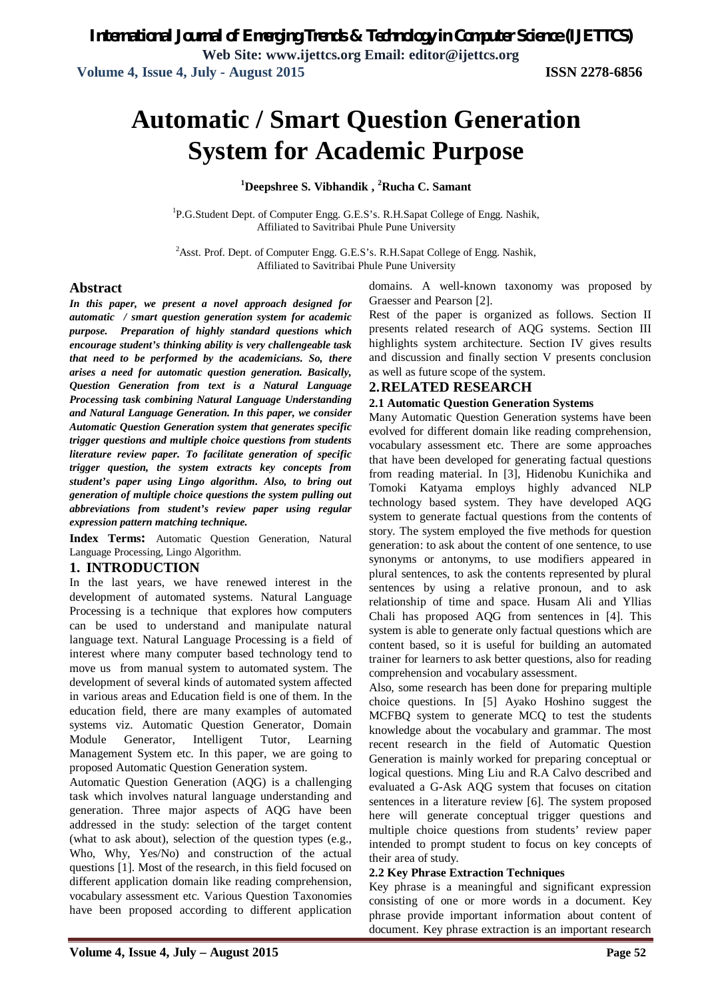# **Automatic / Smart Question Generation System for Academic Purpose**

**<sup>1</sup>Deepshree S. Vibhandik , <sup>2</sup>Rucha C. Samant**

<sup>1</sup>P.G.Student Dept. of Computer Engg. G.E.S's. R.H.Sapat College of Engg. Nashik, Affiliated to Savitribai Phule Pune University

<sup>2</sup>Asst. Prof. Dept. of Computer Engg. G.E.S's. R.H.Sapat College of Engg. Nashik, Affiliated to Savitribai Phule Pune University

#### **Abstract**

*In this paper, we present a novel approach designed for automatic / smart question generation system for academic purpose. Preparation of highly standard questions which encourage student's thinking ability is very challengeable task that need to be performed by the academicians. So, there arises a need for automatic question generation. Basically, Question Generation from text is a Natural Language Processing task combining Natural Language Understanding and Natural Language Generation. In this paper, we consider Automatic Question Generation system that generates specific trigger questions and multiple choice questions from students literature review paper. To facilitate generation of specific trigger question, the system extracts key concepts from student's paper using Lingo algorithm. Also, to bring out generation of multiple choice questions the system pulling out abbreviations from student's review paper using regular expression pattern matching technique.* 

**Index Terms:** Automatic Question Generation, Natural Language Processing, Lingo Algorithm.

#### **1. INTRODUCTION**

In the last years, we have renewed interest in the development of automated systems. Natural Language Processing is a technique that explores how computers can be used to understand and manipulate natural language text. Natural Language Processing is a field of interest where many computer based technology tend to move us from manual system to automated system. The development of several kinds of automated system affected in various areas and Education field is one of them. In the education field, there are many examples of automated systems viz. Automatic Question Generator, Domain Module Generator, Intelligent Tutor, Learning Management System etc. In this paper, we are going to proposed Automatic Question Generation system.

Automatic Question Generation (AQG) is a challenging task which involves natural language understanding and generation. Three major aspects of AQG have been addressed in the study: selection of the target content (what to ask about), selection of the question types (e.g., Who, Why, Yes/No) and construction of the actual questions [1]. Most of the research, in this field focused on different application domain like reading comprehension, vocabulary assessment etc. Various Question Taxonomies have been proposed according to different application domains. A well-known taxonomy was proposed by Graesser and Pearson [2].

Rest of the paper is organized as follows. Section II presents related research of AQG systems. Section III highlights system architecture. Section IV gives results and discussion and finally section V presents conclusion as well as future scope of the system.

#### **2.RELATED RESEARCH**

#### **2.1 Automatic Question Generation Systems**

Many Automatic Question Generation systems have been evolved for different domain like reading comprehension, vocabulary assessment etc. There are some approaches that have been developed for generating factual questions from reading material. In [3], Hidenobu Kunichika and Tomoki Katyama employs highly advanced NLP technology based system. They have developed AQG system to generate factual questions from the contents of story. The system employed the five methods for question generation: to ask about the content of one sentence, to use synonyms or antonyms, to use modifiers appeared in plural sentences, to ask the contents represented by plural sentences by using a relative pronoun, and to ask relationship of time and space. Husam Ali and Yllias Chali has proposed AQG from sentences in [4]. This system is able to generate only factual questions which are content based, so it is useful for building an automated trainer for learners to ask better questions, also for reading comprehension and vocabulary assessment.

Also, some research has been done for preparing multiple choice questions. In [5] Ayako Hoshino suggest the MCFBQ system to generate MCQ to test the students knowledge about the vocabulary and grammar. The most recent research in the field of Automatic Question Generation is mainly worked for preparing conceptual or logical questions. Ming Liu and R.A Calvo described and evaluated a G-Ask AQG system that focuses on citation sentences in a literature review [6]. The system proposed here will generate conceptual trigger questions and multiple choice questions from students' review paper intended to prompt student to focus on key concepts of their area of study.

#### **2.2 Key Phrase Extraction Techniques**

Key phrase is a meaningful and significant expression consisting of one or more words in a document. Key phrase provide important information about content of document. Key phrase extraction is an important research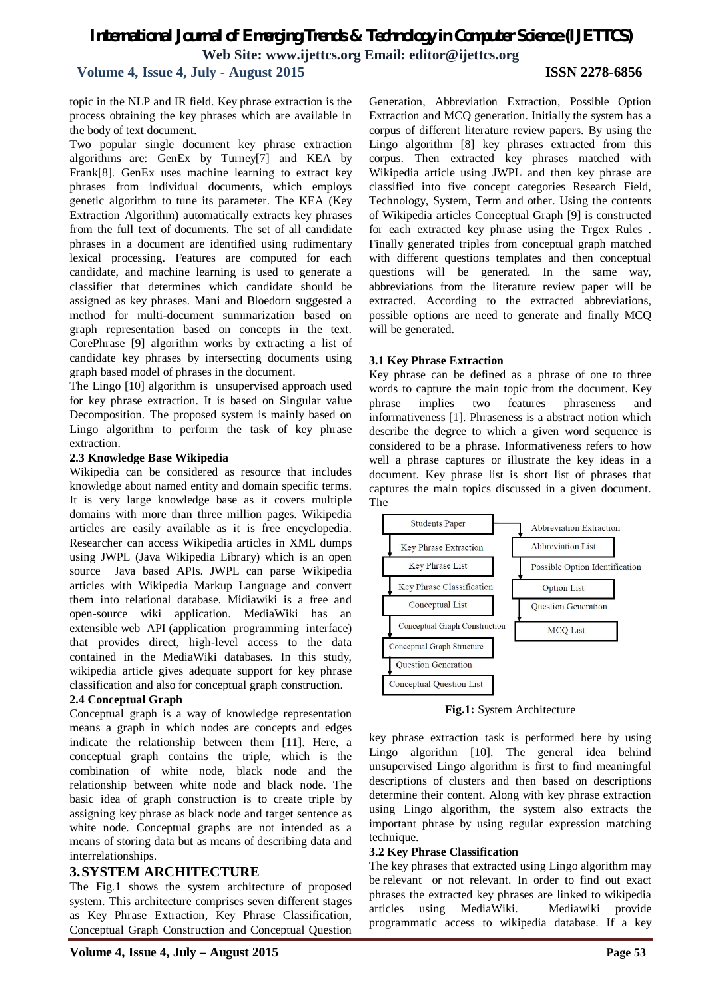#### **Volume 4, Issue 4, July - August 2015 ISSN 2278-6856**

topic in the NLP and IR field. Key phrase extraction is the process obtaining the key phrases which are available in the body of text document.

Two popular single document key phrase extraction algorithms are: GenEx by Turney[7] and KEA by Frank[8]. GenEx uses machine learning to extract key phrases from individual documents, which employs genetic algorithm to tune its parameter. The KEA (Key Extraction Algorithm) automatically extracts key phrases from the full text of documents. The set of all candidate phrases in a document are identified using rudimentary lexical processing. Features are computed for each candidate, and machine learning is used to generate a classifier that determines which candidate should be assigned as key phrases. Mani and Bloedorn suggested a method for multi-document summarization based on graph representation based on concepts in the text. CorePhrase [9] algorithm works by extracting a list of candidate key phrases by intersecting documents using graph based model of phrases in the document.

The Lingo [10] algorithm is unsupervised approach used for key phrase extraction. It is based on Singular value Decomposition. The proposed system is mainly based on Lingo algorithm to perform the task of key phrase extraction.

#### **2.3 Knowledge Base Wikipedia**

Wikipedia can be considered as resource that includes knowledge about named entity and domain specific terms. It is very large knowledge base as it covers multiple domains with more than three million pages. Wikipedia articles are easily available as it is free encyclopedia. Researcher can access Wikipedia articles in XML dumps using JWPL (Java Wikipedia Library) which is an open source Java based APIs. JWPL can parse Wikipedia articles with Wikipedia Markup Language and convert them into relational database. Midiawiki is a free and open-source wiki application. MediaWiki has an extensible web API (application programming interface) that provides direct, high-level access to the data contained in the MediaWiki databases. In this study, wikipedia article gives adequate support for key phrase classification and also for conceptual graph construction.

#### **2.4 Conceptual Graph**

Conceptual graph is a way of knowledge representation means a graph in which nodes are concepts and edges indicate the relationship between them [11]. Here, a conceptual graph contains the triple, which is the combination of white node, black node and the relationship between white node and black node. The basic idea of graph construction is to create triple by assigning key phrase as black node and target sentence as white node. Conceptual graphs are not intended as a means of storing data but as means of describing data and interrelationships.

#### **3.SYSTEM ARCHITECTURE**

The Fig.1 shows the system architecture of proposed system. This architecture comprises seven different stages as Key Phrase Extraction, Key Phrase Classification, Conceptual Graph Construction and Conceptual Question

Generation, Abbreviation Extraction, Possible Option Extraction and MCQ generation. Initially the system has a corpus of different literature review papers. By using the Lingo algorithm [8] key phrases extracted from this corpus. Then extracted key phrases matched with Wikipedia article using JWPL and then key phrase are classified into five concept categories Research Field, Technology, System, Term and other. Using the contents of Wikipedia articles Conceptual Graph [9] is constructed for each extracted key phrase using the Trgex Rules . Finally generated triples from conceptual graph matched with different questions templates and then conceptual questions will be generated. In the same way, abbreviations from the literature review paper will be extracted. According to the extracted abbreviations, possible options are need to generate and finally MCQ will be generated.

#### **3.1 Key Phrase Extraction**

Key phrase can be defined as a phrase of one to three words to capture the main topic from the document. Key phrase implies two features phraseness and informativeness [1]. Phraseness is a abstract notion which describe the degree to which a given word sequence is considered to be a phrase. Informativeness refers to how well a phrase captures or illustrate the key ideas in a document. Key phrase list is short list of phrases that captures the main topics discussed in a given document. The



**Fig.1:** System Architecture

key phrase extraction task is performed here by using Lingo algorithm [10]. The general idea behind unsupervised Lingo algorithm is first to find meaningful descriptions of clusters and then based on descriptions determine their content. Along with key phrase extraction using Lingo algorithm, the system also extracts the important phrase by using regular expression matching technique.

#### **3.2 Key Phrase Classification**

The key phrases that extracted using Lingo algorithm may be relevant or not relevant. In order to find out exact phrases the extracted key phrases are linked to wikipedia articles using MediaWiki. Mediawiki provide programmatic access to wikipedia database. If a key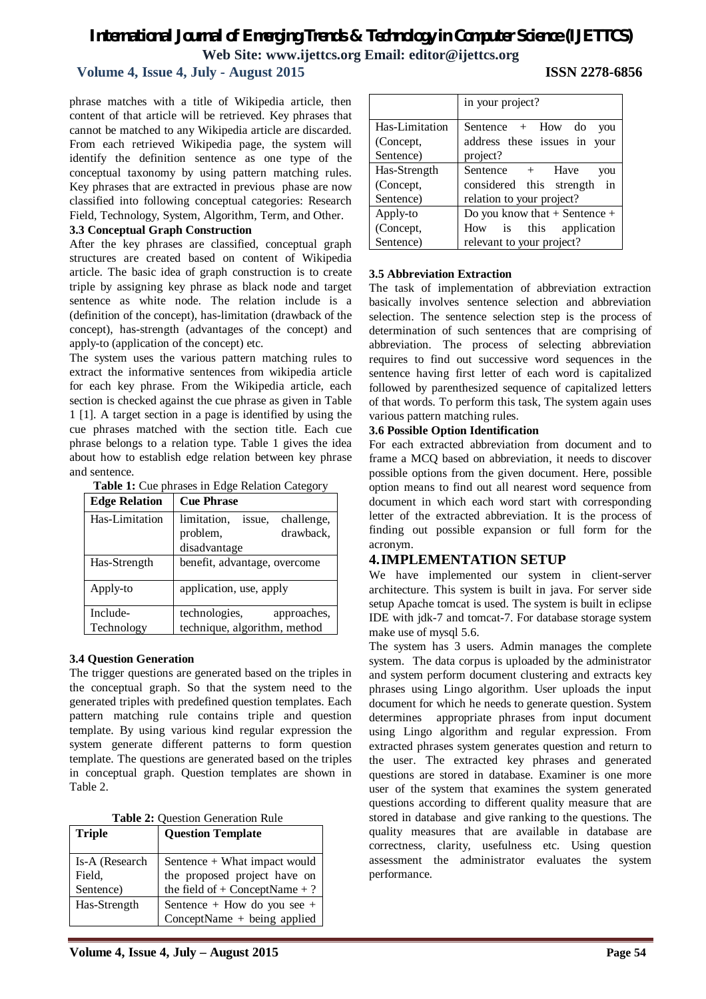#### **Volume 4, Issue 4, July - August 2015 ISSN 2278-6856**

phrase matches with a title of Wikipedia article, then content of that article will be retrieved. Key phrases that cannot be matched to any Wikipedia article are discarded. From each retrieved Wikipedia page, the system will identify the definition sentence as one type of the conceptual taxonomy by using pattern matching rules. Key phrases that are extracted in previous phase are now classified into following conceptual categories: Research Field, Technology, System, Algorithm, Term, and Other.

#### **3.3 Conceptual Graph Construction**

After the key phrases are classified, conceptual graph structures are created based on content of Wikipedia article. The basic idea of graph construction is to create triple by assigning key phrase as black node and target sentence as white node. The relation include is a (definition of the concept), has-limitation (drawback of the concept), has-strength (advantages of the concept) and apply-to (application of the concept) etc.

The system uses the various pattern matching rules to extract the informative sentences from wikipedia article for each key phrase. From the Wikipedia article, each section is checked against the cue phrase as given in Table 1 [1]. A target section in a page is identified by using the cue phrases matched with the section title. Each cue phrase belongs to a relation type. Table 1 gives the idea about how to establish edge relation between key phrase and sentence.

|  | Table 1: Cue phrases in Edge Relation Category |
|--|------------------------------------------------|
|--|------------------------------------------------|

| <b>Edge Relation</b> | <b>Cue Phrase</b>                   |  |  |  |  |
|----------------------|-------------------------------------|--|--|--|--|
| Has-Limitation       | limitation,<br>challenge,<br>issue. |  |  |  |  |
|                      | drawback,<br>problem,               |  |  |  |  |
|                      | disadvantage                        |  |  |  |  |
| Has-Strength         | benefit, advantage, overcome        |  |  |  |  |
| Apply-to             | application, use, apply             |  |  |  |  |
| Include-             | technologies,<br>approaches,        |  |  |  |  |
| Technology           | technique, algorithm, method        |  |  |  |  |

#### **3.4 Question Generation**

The trigger questions are generated based on the triples in the conceptual graph. So that the system need to the generated triples with predefined question templates. Each pattern matching rule contains triple and question template. By using various kind regular expression the system generate different patterns to form question template. The questions are generated based on the triples in conceptual graph. Question templates are shown in Table 2.

**Table 2:** Question Generation Rule

| <b>Triple</b>  | <b>Question Template</b>                                           |
|----------------|--------------------------------------------------------------------|
| Is-A (Research | Sentence + What impact would                                       |
| Field,         | the proposed project have on<br>the field of $+$ ConceptName $+$ ? |
| Sentence)      |                                                                    |
| Has-Strength   | Sentence + How do you see +                                        |
|                | $ConceptName + being applied$                                      |

|                                          | in your project?                                                                             |  |  |  |  |
|------------------------------------------|----------------------------------------------------------------------------------------------|--|--|--|--|
| Has-Limitation<br>(Concept,<br>Sentence) | Sentence $+$ How do<br>you<br>address these issues in your<br>project?                       |  |  |  |  |
| Has-Strength<br>(Concept,<br>Sentence)   | Sentence +<br>Have<br>you<br>considered this strength<br>in<br>relation to your project?     |  |  |  |  |
| Apply-to<br>(Concept,<br>Sentence)       | Do you know that $+$ Sentence $+$<br>is this application<br>How<br>relevant to your project? |  |  |  |  |

#### **3.5 Abbreviation Extraction**

The task of implementation of abbreviation extraction basically involves sentence selection and abbreviation selection. The sentence selection step is the process of determination of such sentences that are comprising of abbreviation. The process of selecting abbreviation requires to find out successive word sequences in the sentence having first letter of each word is capitalized followed by parenthesized sequence of capitalized letters of that words. To perform this task, The system again uses various pattern matching rules.

#### **3.6 Possible Option Identification**

For each extracted abbreviation from document and to frame a MCQ based on abbreviation, it needs to discover possible options from the given document. Here, possible option means to find out all nearest word sequence from document in which each word start with corresponding letter of the extracted abbreviation. It is the process of finding out possible expansion or full form for the acronym.

#### **4.IMPLEMENTATION SETUP**

We have implemented our system in client-server architecture. This system is built in java. For server side setup Apache tomcat is used. The system is built in eclipse IDE with jdk-7 and tomcat-7. For database storage system make use of mysql 5.6.

The system has 3 users. Admin manages the complete system. The data corpus is uploaded by the administrator and system perform document clustering and extracts key phrases using Lingo algorithm. User uploads the input document for which he needs to generate question. System determines appropriate phrases from input document using Lingo algorithm and regular expression. From extracted phrases system generates question and return to the user. The extracted key phrases and generated questions are stored in database. Examiner is one more user of the system that examines the system generated questions according to different quality measure that are stored in database and give ranking to the questions. The quality measures that are available in database are correctness, clarity, usefulness etc. Using question assessment the administrator evaluates the system performance.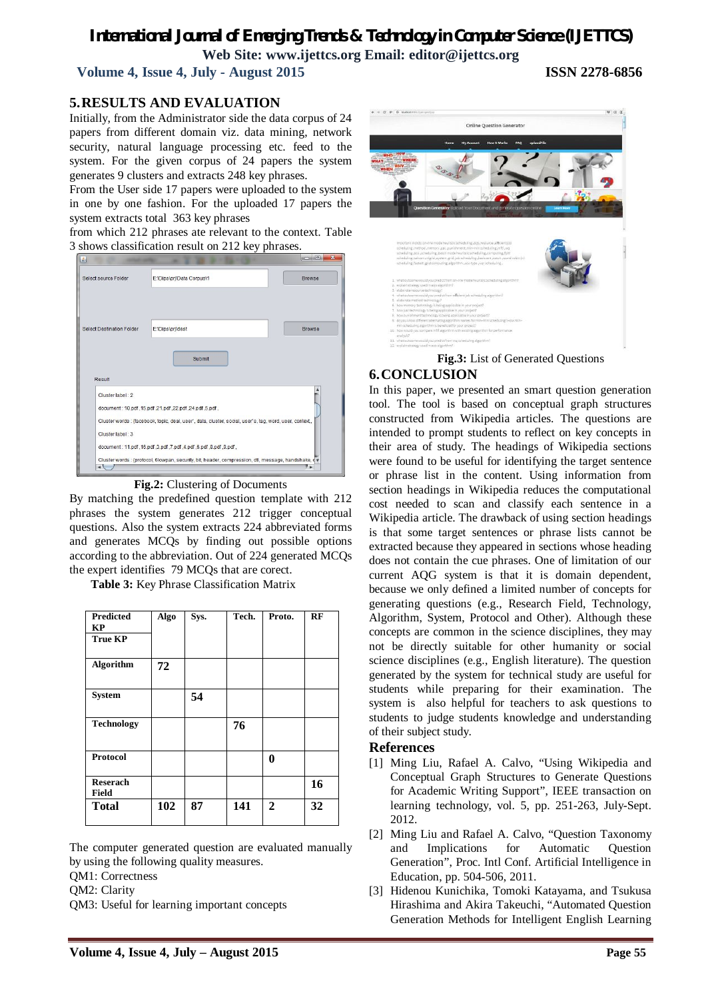**Volume 4, Issue 4, July - August 2015 ISSN 2278-6856**

#### **5.RESULTS AND EVALUATION**

Initially, from the Administrator side the data corpus of 24 papers from different domain viz. data mining, network security, natural language processing etc. feed to the system. For the given corpus of 24 papers the system generates 9 clusters and extracts 248 key phrases.

From the User side 17 papers were uploaded to the system in one by one fashion. For the uploaded 17 papers the system extracts total 363 key phrases

from which 212 phrases ate relevant to the context. Table 3 shows classification result on 212 key phrases.



#### **Fig.2:** Clustering of Documents

By matching the predefined question template with 212 phrases the system generates 212 trigger conceptual questions. Also the system extracts 224 abbreviated forms and generates MCQs by finding out possible options according to the abbreviation. Out of 224 generated MCQs the expert identifies 79 MCQs that are corect.

**Table 3:** Key Phrase Classification Matrix

| <b>Predicted</b><br><b>KP</b>   | <b>Algo</b> | Sys. | Tech. | Proto.       | RF |
|---------------------------------|-------------|------|-------|--------------|----|
| <b>True KP</b>                  |             |      |       |              |    |
| <b>Algorithm</b>                | 72          |      |       |              |    |
| <b>System</b>                   |             | 54   |       |              |    |
| <b>Technology</b>               |             |      | 76    |              |    |
| <b>Protocol</b>                 |             |      |       | 0            |    |
| <b>Reserach</b><br><b>Field</b> |             |      |       |              | 16 |
| <b>Total</b>                    | 102         | 87   | 141   | $\mathbf{2}$ | 32 |

The computer generated question are evaluated manually by using the following quality measures.

QM1: Correctness

QM2: Clarity

QM3: Useful for learning important concepts



# **Fig.3:** List of Generated Questions

**6.CONCLUSION**

In this paper, we presented an smart question generation tool. The tool is based on conceptual graph structures constructed from Wikipedia articles. The questions are intended to prompt students to reflect on key concepts in their area of study. The headings of Wikipedia sections were found to be useful for identifying the target sentence or phrase list in the content. Using information from section headings in Wikipedia reduces the computational cost needed to scan and classify each sentence in a Wikipedia article. The drawback of using section headings is that some target sentences or phrase lists cannot be extracted because they appeared in sections whose heading does not contain the cue phrases. One of limitation of our current AQG system is that it is domain dependent, because we only defined a limited number of concepts for generating questions (e.g., Research Field, Technology, Algorithm, System, Protocol and Other). Although these concepts are common in the science disciplines, they may not be directly suitable for other humanity or social science disciplines (e.g., English literature). The question generated by the system for technical study are useful for students while preparing for their examination. The system is also helpful for teachers to ask questions to students to judge students knowledge and understanding of their subject study.

#### **References**

- [1] Ming Liu, Rafael A. Calvo, "Using Wikipedia and Conceptual Graph Structures to Generate Questions for Academic Writing Support", IEEE transaction on learning technology, vol. 5, pp. 251-263, July-Sept. 2012.
- [2] Ming Liu and Rafael A. Calvo, "Question Taxonomy and Implications for Automatic Question Generation", Proc. Intl Conf. Artificial Intelligence in Education, pp. 504-506, 2011.
- [3] Hidenou Kunichika, Tomoki Katayama, and Tsukusa Hirashima and Akira Takeuchi, "Automated Question Generation Methods for Intelligent English Learning